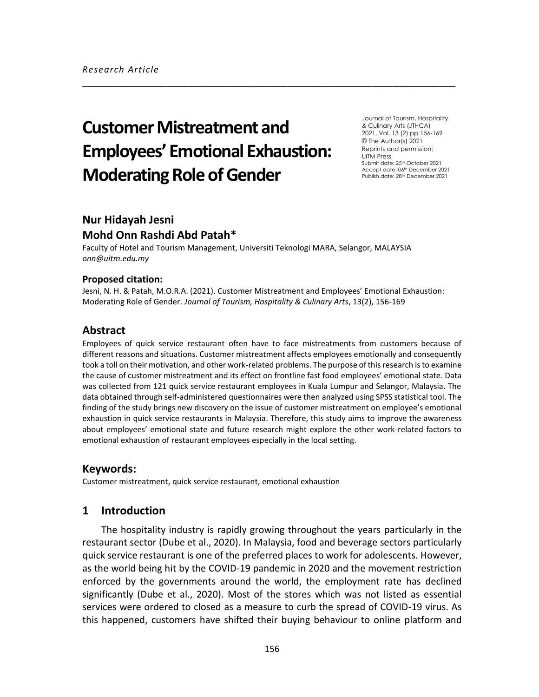# **Customer Mistreatment and Employees' Emotional Exhaustion: Moderating Role of Gender**

Journal of Tourism, Hospitality & Culinary Arts (JTHCA) 2021, Vol. 13 (2) pp 156-169 © The Author(s) 2021 Reprints and permission: UiTM Press Submit date: 25<sup>th</sup> October 2021 Accept date: 06th December 2021 Publish date: 28<sup>th</sup> December 2021

# **Nur Hidayah Jesni Mohd Onn Rashdi Abd Patah\***

Faculty of Hotel and Tourism Management, Universiti Teknologi MARA, Selangor, MALAYSIA *onn@uitm.edu.my*

#### **Proposed citation:**

Jesni, N. H. & Patah, M.O.R.A. (2021). Customer Mistreatment and Employees' Emotional Exhaustion: Moderating Role of Gender. *Journal of Tourism, Hospitality & Culinary Arts*, 13(2), 156-169

\_\_\_\_\_\_\_\_\_\_\_\_\_\_\_\_\_\_\_\_\_\_\_\_\_\_\_\_\_\_\_\_\_\_\_\_\_\_\_\_\_\_\_\_\_\_\_\_\_\_\_\_\_\_\_\_\_\_\_\_\_\_\_\_\_\_\_\_\_\_\_

# **Abstract**

Employees of quick service restaurant often have to face mistreatments from customers because of different reasons and situations. Customer mistreatment affects employees emotionally and consequently took a toll on their motivation, and other work-related problems. The purpose of this research is to examine the cause of customer mistreatment and its effect on frontline fast food employees' emotional state. Data was collected from 121 quick service restaurant employees in Kuala Lumpur and Selangor, Malaysia. The data obtained through self-administered questionnaires were then analyzed using SPSS statistical tool. The finding of the study brings new discovery on the issue of customer mistreatment on employee's emotional exhaustion in quick service restaurants in Malaysia. Therefore, this study aims to improve the awareness about employees' emotional state and future research might explore the other work-related factors to emotional exhaustion of restaurant employees especially in the local setting.

## **Keywords:**

Customer mistreatment, quick service restaurant, emotional exhaustion

## **1 Introduction**

The hospitality industry is rapidly growing throughout the years particularly in the restaurant sector (Dube et al., 2020). In Malaysia, food and beverage sectors particularly quick service restaurant is one of the preferred places to work for adolescents. However, as the world being hit by the COVID-19 pandemic in 2020 and the movement restriction enforced by the governments around the world, the employment rate has declined significantly (Dube et al., 2020). Most of the stores which was not listed as essential services were ordered to closed as a measure to curb the spread of COVID-19 virus. As this happened, customers have shifted their buying behaviour to online platform and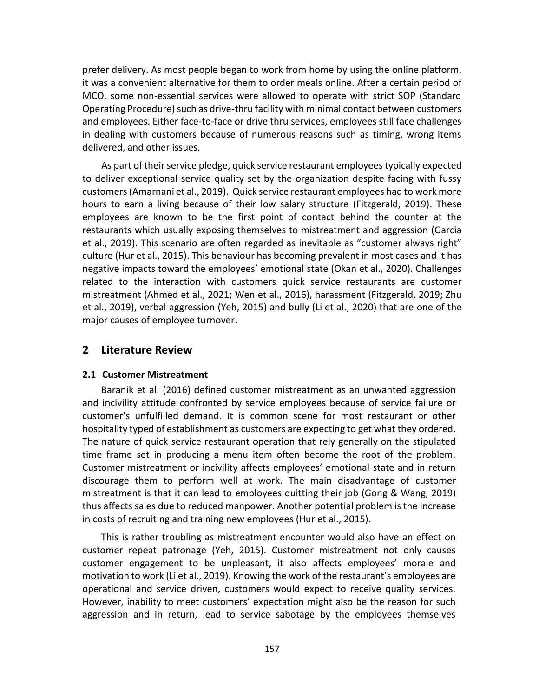prefer delivery. As most people began to work from home by using the online platform, it was a convenient alternative for them to order meals online. After a certain period of MCO, some non-essential services were allowed to operate with strict SOP (Standard Operating Procedure) such as drive-thru facility with minimal contact between customers and employees. Either face-to-face or drive thru services, employees still face challenges in dealing with customers because of numerous reasons such as timing, wrong items delivered, and other issues.

As part of their service pledge, quick service restaurant employees typically expected to deliver exceptional service quality set by the organization despite facing with fussy customers (Amarnani et al., 2019). Quick service restaurant employees had to work more hours to earn a living because of their low salary structure (Fitzgerald, 2019). These employees are known to be the first point of contact behind the counter at the restaurants which usually exposing themselves to mistreatment and aggression (Garcia et al., 2019). This scenario are often regarded as inevitable as "customer always right" culture (Hur et al., 2015). This behaviour has becoming prevalent in most cases and it has negative impacts toward the employees' emotional state (Okan et al., 2020). Challenges related to the interaction with customers quick service restaurants are customer mistreatment (Ahmed et al., 2021; Wen et al., 2016), harassment (Fitzgerald, 2019; Zhu et al., 2019), verbal aggression (Yeh, 2015) and bully (Li et al., 2020) that are one of the major causes of employee turnover.

## **2 Literature Review**

#### **2.1 Customer Mistreatment**

Baranik et al. (2016) defined customer mistreatment as an unwanted aggression and incivility attitude confronted by service employees because of service failure or customer's unfulfilled demand. It is common scene for most restaurant or other hospitality typed of establishment as customers are expecting to get what they ordered. The nature of quick service restaurant operation that rely generally on the stipulated time frame set in producing a menu item often become the root of the problem. Customer mistreatment or incivility affects employees' emotional state and in return discourage them to perform well at work. The main disadvantage of customer mistreatment is that it can lead to employees quitting their job (Gong & Wang, 2019) thus affects sales due to reduced manpower. Another potential problem is the increase in costs of recruiting and training new employees (Hur et al., 2015).

This is rather troubling as mistreatment encounter would also have an effect on customer repeat patronage (Yeh, 2015). Customer mistreatment not only causes customer engagement to be unpleasant, it also affects employees' morale and motivation to work (Li et al., 2019). Knowing the work of the restaurant's employees are operational and service driven, customers would expect to receive quality services. However, inability to meet customers' expectation might also be the reason for such aggression and in return, lead to service sabotage by the employees themselves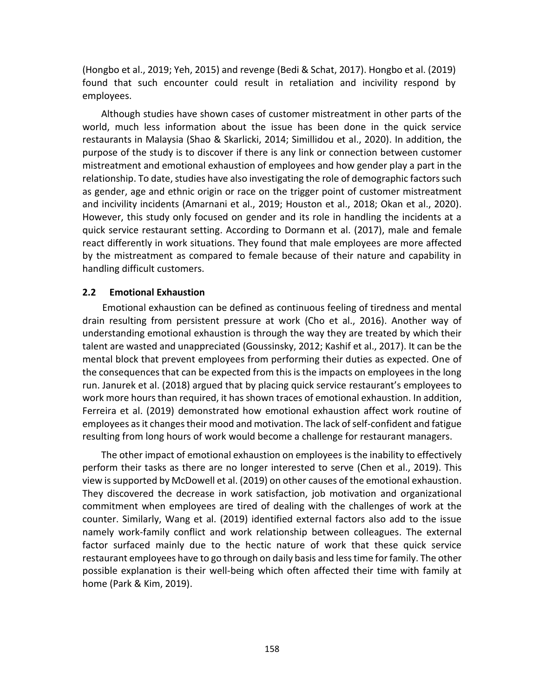(Hongbo et al., 2019; Yeh, 2015) and revenge (Bedi & Schat, 2017). Hongbo et al. (2019) found that such encounter could result in retaliation and incivility respond by employees.

Although studies have shown cases of customer mistreatment in other parts of the world, much less information about the issue has been done in the quick service restaurants in Malaysia (Shao & Skarlicki, 2014; Simillidou et al., 2020). In addition, the purpose of the study is to discover if there is any link or connection between customer mistreatment and emotional exhaustion of employees and how gender play a part in the relationship. To date, studies have also investigating the role of demographic factors such as gender, age and ethnic origin or race on the trigger point of customer mistreatment and incivility incidents (Amarnani et al., 2019; Houston et al., 2018; Okan et al., 2020). However, this study only focused on gender and its role in handling the incidents at a quick service restaurant setting. According to Dormann et al. (2017), male and female react differently in work situations. They found that male employees are more affected by the mistreatment as compared to female because of their nature and capability in handling difficult customers.

#### **2.2 Emotional Exhaustion**

Emotional exhaustion can be defined as continuous feeling of tiredness and mental drain resulting from persistent pressure at work (Cho et al., 2016). Another way of understanding emotional exhaustion is through the way they are treated by which their talent are wasted and unappreciated (Goussinsky, 2012; Kashif et al., 2017). It can be the mental block that prevent employees from performing their duties as expected. One of the consequences that can be expected from this is the impacts on employees in the long run. Janurek et al. (2018) argued that by placing quick service restaurant's employees to work more hours than required, it has shown traces of emotional exhaustion. In addition, Ferreira et al. (2019) demonstrated how emotional exhaustion affect work routine of employees as it changes their mood and motivation. The lack of self-confident and fatigue resulting from long hours of work would become a challenge for restaurant managers.

The other impact of emotional exhaustion on employees is the inability to effectively perform their tasks as there are no longer interested to serve (Chen et al., 2019). This view is supported by McDowell et al. (2019) on other causes of the emotional exhaustion. They discovered the decrease in work satisfaction, job motivation and organizational commitment when employees are tired of dealing with the challenges of work at the counter. Similarly, Wang et al. (2019) identified external factors also add to the issue namely work-family conflict and work relationship between colleagues. The external factor surfaced mainly due to the hectic nature of work that these quick service restaurant employees have to go through on daily basis and less time for family. The other possible explanation is their well-being which often affected their time with family at home (Park & Kim, 2019).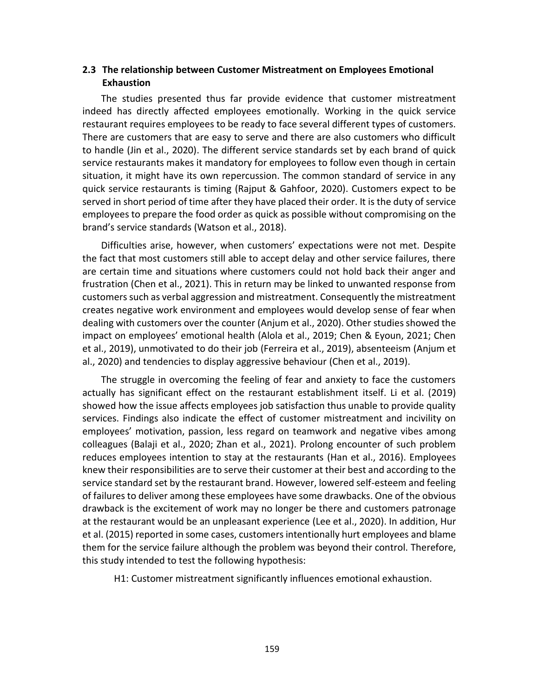## **2.3 The relationship between Customer Mistreatment on Employees Emotional Exhaustion**

The studies presented thus far provide evidence that customer mistreatment indeed has directly affected employees emotionally. Working in the quick service restaurant requires employees to be ready to face several different types of customers. There are customers that are easy to serve and there are also customers who difficult to handle (Jin et al., 2020). The different service standards set by each brand of quick service restaurants makes it mandatory for employees to follow even though in certain situation, it might have its own repercussion. The common standard of service in any quick service restaurants is timing (Rajput & Gahfoor, 2020). Customers expect to be served in short period of time after they have placed their order. It is the duty of service employees to prepare the food order as quick as possible without compromising on the brand's service standards (Watson et al., 2018).

Difficulties arise, however, when customers' expectations were not met. Despite the fact that most customers still able to accept delay and other service failures, there are certain time and situations where customers could not hold back their anger and frustration (Chen et al., 2021). This in return may be linked to unwanted response from customers such as verbal aggression and mistreatment. Consequently the mistreatment creates negative work environment and employees would develop sense of fear when dealing with customers over the counter (Anjum et al., 2020). Other studies showed the impact on employees' emotional health (Alola et al., 2019; Chen & Eyoun, 2021; Chen et al., 2019), unmotivated to do their job (Ferreira et al., 2019), absenteeism (Anjum et al., 2020) and tendencies to display aggressive behaviour (Chen et al., 2019).

The struggle in overcoming the feeling of fear and anxiety to face the customers actually has significant effect on the restaurant establishment itself. Li et al. (2019) showed how the issue affects employees job satisfaction thus unable to provide quality services. Findings also indicate the effect of customer mistreatment and incivility on employees' motivation, passion, less regard on teamwork and negative vibes among colleagues (Balaji et al., 2020; Zhan et al., 2021). Prolong encounter of such problem reduces employees intention to stay at the restaurants (Han et al., 2016). Employees knew their responsibilities are to serve their customer at their best and according to the service standard set by the restaurant brand. However, lowered self-esteem and feeling of failures to deliver among these employees have some drawbacks. One of the obvious drawback is the excitement of work may no longer be there and customers patronage at the restaurant would be an unpleasant experience (Lee et al., 2020). In addition, Hur et al. (2015) reported in some cases, customers intentionally hurt employees and blame them for the service failure although the problem was beyond their control. Therefore, this study intended to test the following hypothesis:

H1: Customer mistreatment significantly influences emotional exhaustion.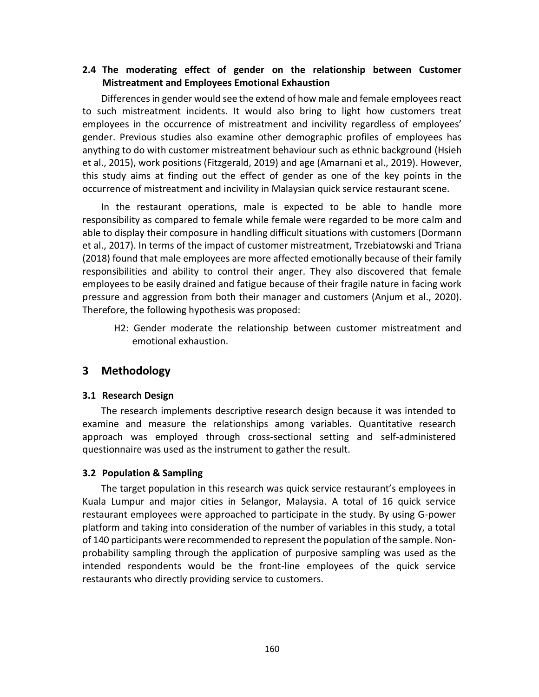# **2.4 The moderating effect of gender on the relationship between Customer Mistreatment and Employees Emotional Exhaustion**

Differences in gender would see the extend of how male and female employees react to such mistreatment incidents. It would also bring to light how customers treat employees in the occurrence of mistreatment and incivility regardless of employees' gender. Previous studies also examine other demographic profiles of employees has anything to do with customer mistreatment behaviour such as ethnic background (Hsieh et al., 2015), work positions (Fitzgerald, 2019) and age (Amarnani et al., 2019). However, this study aims at finding out the effect of gender as one of the key points in the occurrence of mistreatment and incivility in Malaysian quick service restaurant scene.

In the restaurant operations, male is expected to be able to handle more responsibility as compared to female while female were regarded to be more calm and able to display their composure in handling difficult situations with customers (Dormann et al., 2017). In terms of the impact of customer mistreatment, Trzebiatowski and Triana (2018) found that male employees are more affected emotionally because of their family responsibilities and ability to control their anger. They also discovered that female employees to be easily drained and fatigue because of their fragile nature in facing work pressure and aggression from both their manager and customers (Anjum et al., 2020). Therefore, the following hypothesis was proposed:

H2: Gender moderate the relationship between customer mistreatment and emotional exhaustion.

# **3 Methodology**

## **3.1 Research Design**

The research implements descriptive research design because it was intended to examine and measure the relationships among variables. Quantitative research approach was employed through cross-sectional setting and self-administered questionnaire was used as the instrument to gather the result.

## **3.2 Population & Sampling**

The target population in this research was quick service restaurant's employees in Kuala Lumpur and major cities in Selangor, Malaysia. A total of 16 quick service restaurant employees were approached to participate in the study. By using G-power platform and taking into consideration of the number of variables in this study, a total of 140 participants were recommended to represent the population of the sample. Nonprobability sampling through the application of purposive sampling was used as the intended respondents would be the front-line employees of the quick service restaurants who directly providing service to customers.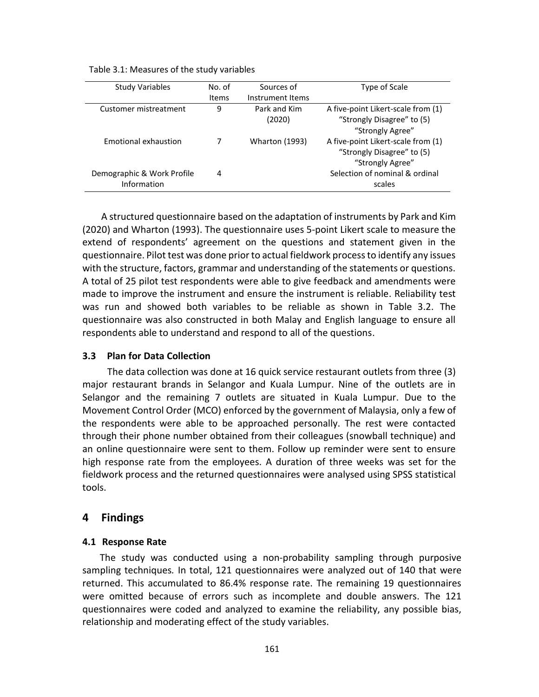Table 3.1: Measures of the study variables

| <b>Study Variables</b>                    | No. of<br>Items | Sources of<br>Instrument Items | Type of Scale                                                                        |
|-------------------------------------------|-----------------|--------------------------------|--------------------------------------------------------------------------------------|
| Customer mistreatment                     | 9               | Park and Kim<br>(2020)         | A five-point Likert-scale from (1)<br>"Strongly Disagree" to (5)<br>"Strongly Agree" |
| Emotional exhaustion                      |                 | <b>Wharton (1993)</b>          | A five-point Likert-scale from (1)<br>"Strongly Disagree" to (5)<br>"Strongly Agree" |
| Demographic & Work Profile<br>Information | 4               |                                | Selection of nominal & ordinal<br>scales                                             |

A structured questionnaire based on the adaptation of instruments by Park and Kim (2020) and Wharton (1993). The questionnaire uses 5-point Likert scale to measure the extend of respondents' agreement on the questions and statement given in the questionnaire. Pilot test was done prior to actual fieldwork process to identify any issues with the structure, factors, grammar and understanding of the statements or questions. A total of 25 pilot test respondents were able to give feedback and amendments were made to improve the instrument and ensure the instrument is reliable. Reliability test was run and showed both variables to be reliable as shown in Table 3.2. The questionnaire was also constructed in both Malay and English language to ensure all respondents able to understand and respond to all of the questions.

## **3.3 Plan for Data Collection**

The data collection was done at 16 quick service restaurant outlets from three (3) major restaurant brands in Selangor and Kuala Lumpur. Nine of the outlets are in Selangor and the remaining 7 outlets are situated in Kuala Lumpur. Due to the Movement Control Order (MCO) enforced by the government of Malaysia, only a few of the respondents were able to be approached personally. The rest were contacted through their phone number obtained from their colleagues (snowball technique) and an online questionnaire were sent to them. Follow up reminder were sent to ensure high response rate from the employees. A duration of three weeks was set for the fieldwork process and the returned questionnaires were analysed using SPSS statistical tools.

## **4 Findings**

## **4.1 Response Rate**

The study was conducted using a non-probability sampling through purposive sampling techniques*.* In total, 121 questionnaires were analyzed out of 140 that were returned. This accumulated to 86.4% response rate. The remaining 19 questionnaires were omitted because of errors such as incomplete and double answers. The 121 questionnaires were coded and analyzed to examine the reliability, any possible bias, relationship and moderating effect of the study variables.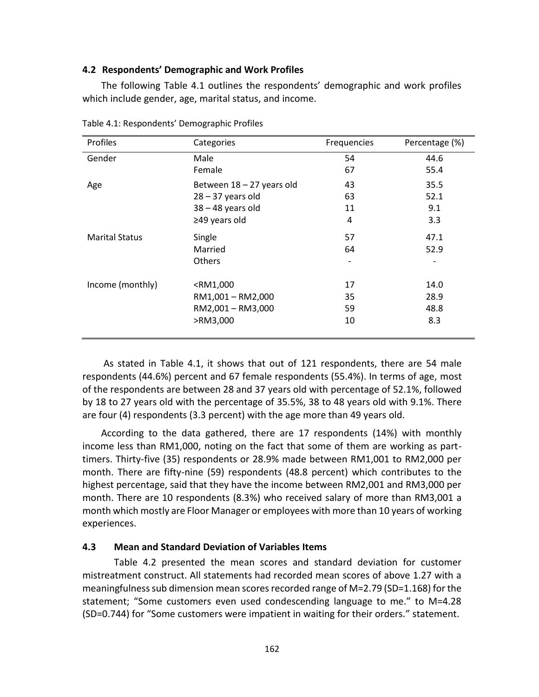#### **4.2 Respondents' Demographic and Work Profiles**

The following Table 4.1 outlines the respondents' demographic and work profiles which include gender, age, marital status, and income.

| Profiles              | Categories                                          | Frequencies | Percentage (%) |
|-----------------------|-----------------------------------------------------|-------------|----------------|
| Gender                | Male                                                | 54          | 44.6           |
|                       | Female                                              | 67          | 55.4           |
| Age                   | Between 18 - 27 years old                           | 43          | 35.5           |
|                       | $28 - 37$ years old                                 | 63          | 52.1           |
|                       | $38 - 48$ years old                                 | 11          | 9.1            |
|                       | $\geq$ 49 years old                                 | 4           | 3.3            |
| <b>Marital Status</b> | Single                                              | 57          | 47.1           |
|                       | Married                                             | 64          | 52.9           |
|                       | <b>Others</b>                                       | ٠           |                |
| Income (monthly)      | <rm1,000< td=""><td>17</td><td>14.0</td></rm1,000<> | 17          | 14.0           |
|                       | RM1,001 - RM2,000                                   | 35          | 28.9           |
|                       | RM2,001 - RM3,000                                   | 59          | 48.8           |
|                       | >RM3,000                                            | 10          | 8.3            |

Table 4.1: Respondents' Demographic Profiles

As stated in Table 4.1, it shows that out of 121 respondents, there are 54 male respondents (44.6%) percent and 67 female respondents (55.4%). In terms of age, most of the respondents are between 28 and 37 years old with percentage of 52.1%, followed by 18 to 27 years old with the percentage of 35.5%, 38 to 48 years old with 9.1%. There are four (4) respondents (3.3 percent) with the age more than 49 years old.

According to the data gathered, there are 17 respondents (14%) with monthly income less than RM1,000, noting on the fact that some of them are working as parttimers. Thirty-five (35) respondents or 28.9% made between RM1,001 to RM2,000 per month. There are fifty-nine (59) respondents (48.8 percent) which contributes to the highest percentage, said that they have the income between RM2,001 and RM3,000 per month. There are 10 respondents (8.3%) who received salary of more than RM3,001 a month which mostly are Floor Manager or employees with more than 10 years of working experiences.

## **4.3 Mean and Standard Deviation of Variables Items**

Table 4.2 presented the mean scores and standard deviation for customer mistreatment construct. All statements had recorded mean scores of above 1.27 with a meaningfulness sub dimension mean scores recorded range of M=2.79 (SD=1.168) for the statement; "Some customers even used condescending language to me." to M=4.28 (SD=0.744) for "Some customers were impatient in waiting for their orders." statement.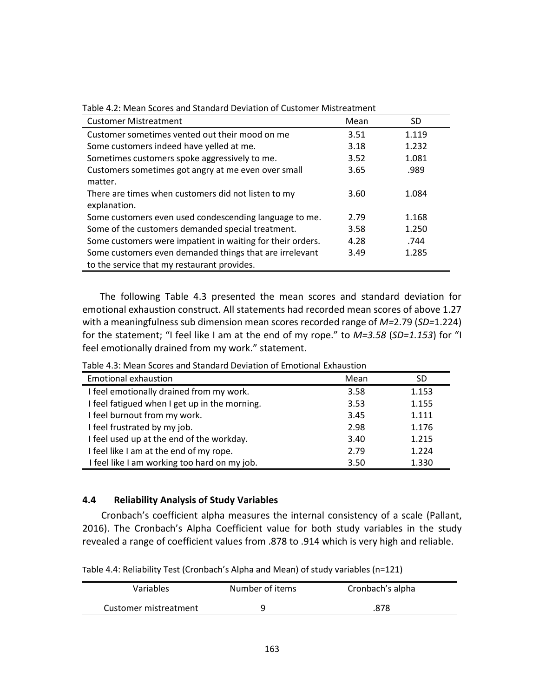| <b>Customer Mistreatment</b>                                                                           | Mean | SD.   |
|--------------------------------------------------------------------------------------------------------|------|-------|
| Customer sometimes vented out their mood on me                                                         | 3.51 | 1.119 |
| Some customers indeed have yelled at me.                                                               | 3.18 | 1.232 |
| Sometimes customers spoke aggressively to me.                                                          | 3.52 | 1.081 |
| Customers sometimes got angry at me even over small<br>matter.                                         | 3.65 | .989  |
| There are times when customers did not listen to my<br>explanation.                                    | 3.60 | 1.084 |
| Some customers even used condescending language to me.                                                 | 2.79 | 1.168 |
| Some of the customers demanded special treatment.                                                      | 3.58 | 1.250 |
| Some customers were impatient in waiting for their orders.                                             | 4.28 | .744  |
| Some customers even demanded things that are irrelevant<br>to the service that my restaurant provides. | 3.49 | 1.285 |

Table 4.2: Mean Scores and Standard Deviation of Customer Mistreatment

The following Table 4.3 presented the mean scores and standard deviation for emotional exhaustion construct. All statements had recorded mean scores of above 1.27 with a meaningfulness sub dimension mean scores recorded range of *M=*2.79 (*SD=*1.224) for the statement; "I feel like I am at the end of my rope." to *M=3.58* (*SD=1.153*) for "I feel emotionally drained from my work." statement.

| <b>Emotional exhaustion</b>                   | Mean | SD    |  |
|-----------------------------------------------|------|-------|--|
| I feel emotionally drained from my work.      | 3.58 | 1.153 |  |
| I feel fatigued when I get up in the morning. | 3.53 | 1.155 |  |
| I feel burnout from my work.                  | 3.45 | 1.111 |  |
| I feel frustrated by my job.                  | 2.98 | 1.176 |  |
| I feel used up at the end of the workday.     | 3.40 | 1.215 |  |
| I feel like I am at the end of my rope.       | 2.79 | 1.224 |  |
| I feel like I am working too hard on my job.  | 3.50 | 1.330 |  |

Table 4.3: Mean Scores and Standard Deviation of Emotional Exhaustion

#### **4.4 Reliability Analysis of Study Variables**

Cronbach's coefficient alpha measures the internal consistency of a scale (Pallant, 2016). The Cronbach's Alpha Coefficient value for both study variables in the study revealed a range of coefficient values from .878 to .914 which is very high and reliable.

Table 4.4: Reliability Test (Cronbach's Alpha and Mean) of study variables (n=121)

| Variables             | Number of items | Cronbach's alpha |
|-----------------------|-----------------|------------------|
| Customer mistreatment |                 | .878             |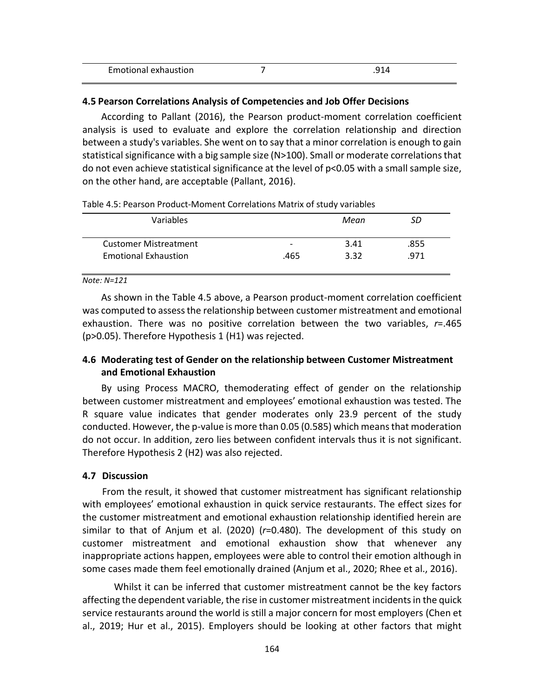| Emotional exhaustion | . A<br>. |  |
|----------------------|----------|--|
|                      |          |  |

#### **4.5 Pearson Correlations Analysis of Competencies and Job Offer Decisions**

According to Pallant (2016), the Pearson product-moment correlation coefficient analysis is used to evaluate and explore the correlation relationship and direction between a study's variables. She went on to say that a minor correlation is enough to gain statistical significance with a big sample size (N>100). Small or moderate correlations that do not even achieve statistical significance at the level of p<0.05 with a small sample size, on the other hand, are acceptable (Pallant, 2016).

Table 4.5: Pearson Product-Moment Correlations Matrix of study variables

| Variables                    |                          | Mean | SD   |
|------------------------------|--------------------------|------|------|
|                              |                          |      |      |
| <b>Customer Mistreatment</b> | $\overline{\phantom{0}}$ | 3.41 | .855 |
| <b>Emotional Exhaustion</b>  | .465                     | 3.32 | .971 |
|                              |                          |      |      |

#### *Note: N=121*

As shown in the Table 4.5 above, a Pearson product-moment correlation coefficient was computed to assess the relationship between customer mistreatment and emotional exhaustion. There was no positive correlation between the two variables, *r*=.465 (p>0.05). Therefore Hypothesis 1 (H1) was rejected.

## **4.6 Moderating test of Gender on the relationship between Customer Mistreatment and Emotional Exhaustion**

By using Process MACRO, themoderating effect of gender on the relationship between customer mistreatment and employees' emotional exhaustion was tested. The R square value indicates that gender moderates only 23.9 percent of the study conducted. However, the p-value is more than 0.05 (0.585) which means that moderation do not occur. In addition, zero lies between confident intervals thus it is not significant. Therefore Hypothesis 2 (H2) was also rejected.

#### **4.7 Discussion**

From the result, it showed that customer mistreatment has significant relationship with employees' emotional exhaustion in quick service restaurants. The effect sizes for the customer mistreatment and emotional exhaustion relationship identified herein are similar to that of Anjum et al. (2020) (*r*=0.480). The development of this study on customer mistreatment and emotional exhaustion show that whenever any inappropriate actions happen, employees were able to control their emotion although in some cases made them feel emotionally drained (Anjum et al., 2020; Rhee et al., 2016).

Whilst it can be inferred that customer mistreatment cannot be the key factors affecting the dependent variable, the rise in customer mistreatment incidents in the quick service restaurants around the world is still a major concern for most employers (Chen et al., 2019; Hur et al., 2015). Employers should be looking at other factors that might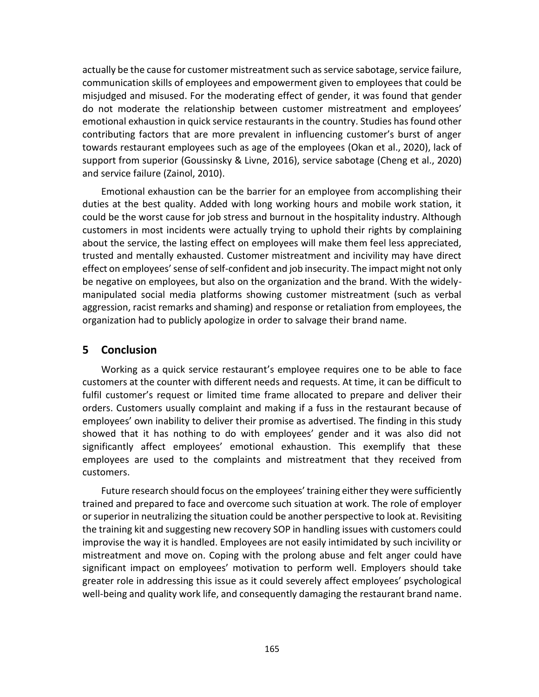actually be the cause for customer mistreatment such as service sabotage, service failure, communication skills of employees and empowerment given to employees that could be misjudged and misused. For the moderating effect of gender, it was found that gender do not moderate the relationship between customer mistreatment and employees' emotional exhaustion in quick service restaurants in the country. Studies has found other contributing factors that are more prevalent in influencing customer's burst of anger towards restaurant employees such as age of the employees (Okan et al., 2020), lack of support from superior (Goussinsky & Livne, 2016), service sabotage (Cheng et al., 2020) and service failure (Zainol, 2010).

Emotional exhaustion can be the barrier for an employee from accomplishing their duties at the best quality. Added with long working hours and mobile work station, it could be the worst cause for job stress and burnout in the hospitality industry. Although customers in most incidents were actually trying to uphold their rights by complaining about the service, the lasting effect on employees will make them feel less appreciated, trusted and mentally exhausted. Customer mistreatment and incivility may have direct effect on employees' sense of self-confident and job insecurity. The impact might not only be negative on employees, but also on the organization and the brand. With the widelymanipulated social media platforms showing customer mistreatment (such as verbal aggression, racist remarks and shaming) and response or retaliation from employees, the organization had to publicly apologize in order to salvage their brand name.

## **5 Conclusion**

Working as a quick service restaurant's employee requires one to be able to face customers at the counter with different needs and requests. At time, it can be difficult to fulfil customer's request or limited time frame allocated to prepare and deliver their orders. Customers usually complaint and making if a fuss in the restaurant because of employees' own inability to deliver their promise as advertised. The finding in this study showed that it has nothing to do with employees' gender and it was also did not significantly affect employees' emotional exhaustion. This exemplify that these employees are used to the complaints and mistreatment that they received from customers.

Future research should focus on the employees' training either they were sufficiently trained and prepared to face and overcome such situation at work. The role of employer or superior in neutralizing the situation could be another perspective to look at. Revisiting the training kit and suggesting new recovery SOP in handling issues with customers could improvise the way it is handled. Employees are not easily intimidated by such incivility or mistreatment and move on. Coping with the prolong abuse and felt anger could have significant impact on employees' motivation to perform well. Employers should take greater role in addressing this issue as it could severely affect employees' psychological well-being and quality work life, and consequently damaging the restaurant brand name.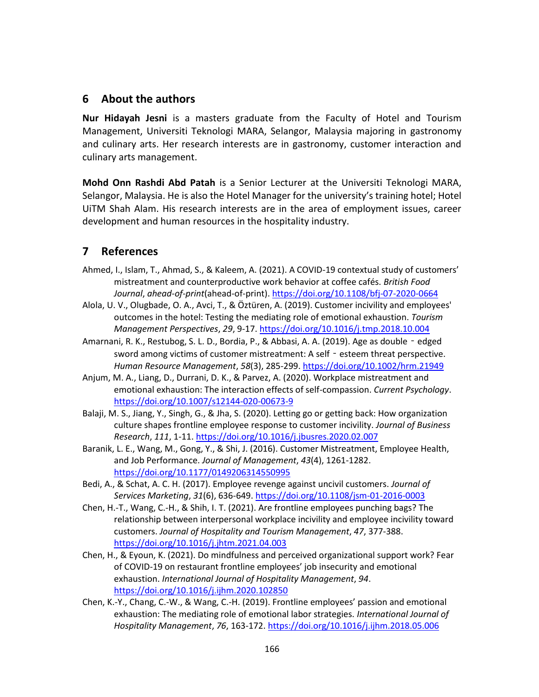# **6 About the authors**

**Nur Hidayah Jesni** is a masters graduate from the Faculty of Hotel and Tourism Management, Universiti Teknologi MARA, Selangor, Malaysia majoring in gastronomy and culinary arts. Her research interests are in gastronomy, customer interaction and culinary arts management.

**Mohd Onn Rashdi Abd Patah** is a Senior Lecturer at the Universiti Teknologi MARA, Selangor, Malaysia. He is also the Hotel Manager for the university's training hotel; Hotel UiTM Shah Alam. His research interests are in the area of employment issues, career development and human resources in the hospitality industry.

# **7 References**

- Ahmed, I., Islam, T., Ahmad, S., & Kaleem, A. (2021). A COVID-19 contextual study of customers' mistreatment and counterproductive work behavior at coffee cafés. *British Food Journal*, *ahead-of-print*(ahead-of-print).<https://doi.org/10.1108/bfj-07-2020-0664>
- Alola, U. V., Olugbade, O. A., Avci, T., & Öztüren, A. (2019). Customer incivility and employees' outcomes in the hotel: Testing the mediating role of emotional exhaustion. *Tourism Management Perspectives*, *29*, 9-17[. https://doi.org/10.1016/j.tmp.2018.10.004](https://doi.org/10.1016/j.tmp.2018.10.004)
- Amarnani, R. K., Restubog, S. L. D., Bordia, P., & Abbasi, A. A. (2019). Age as double edged sword among victims of customer mistreatment: A self - esteem threat perspective. *Human Resource Management*, *58*(3), 285-299.<https://doi.org/10.1002/hrm.21949>
- Anjum, M. A., Liang, D., Durrani, D. K., & Parvez, A. (2020). Workplace mistreatment and emotional exhaustion: The interaction effects of self-compassion. *Current Psychology*. <https://doi.org/10.1007/s12144-020-00673-9>
- Balaji, M. S., Jiang, Y., Singh, G., & Jha, S. (2020). Letting go or getting back: How organization culture shapes frontline employee response to customer incivility. *Journal of Business Research*, *111*, 1-11[. https://doi.org/10.1016/j.jbusres.2020.02.007](https://doi.org/10.1016/j.jbusres.2020.02.007)
- Baranik, L. E., Wang, M., Gong, Y., & Shi, J. (2016). Customer Mistreatment, Employee Health, and Job Performance. *Journal of Management*, *43*(4), 1261-1282. <https://doi.org/10.1177/0149206314550995>
- Bedi, A., & Schat, A. C. H. (2017). Employee revenge against uncivil customers. *Journal of Services Marketing*, *31*(6), 636-649.<https://doi.org/10.1108/jsm-01-2016-0003>
- Chen, H.-T., Wang, C.-H., & Shih, I. T. (2021). Are frontline employees punching bags? The relationship between interpersonal workplace incivility and employee incivility toward customers. *Journal of Hospitality and Tourism Management*, *47*, 377-388. <https://doi.org/10.1016/j.jhtm.2021.04.003>
- Chen, H., & Eyoun, K. (2021). Do mindfulness and perceived organizational support work? Fear of COVID-19 on restaurant frontline employees' job insecurity and emotional exhaustion. *International Journal of Hospitality Management*, *94*. <https://doi.org/10.1016/j.ijhm.2020.102850>
- Chen, K.-Y., Chang, C.-W., & Wang, C.-H. (2019). Frontline employees' passion and emotional exhaustion: The mediating role of emotional labor strategies. *International Journal of Hospitality Management*, *76*, 163-172.<https://doi.org/10.1016/j.ijhm.2018.05.006>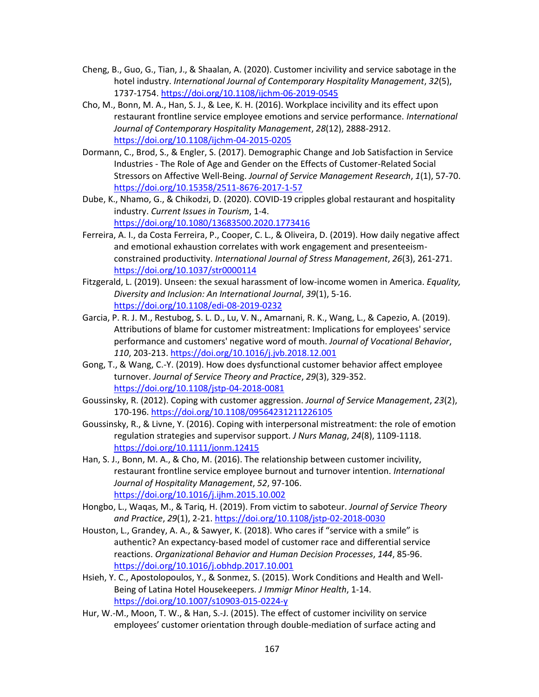- Cheng, B., Guo, G., Tian, J., & Shaalan, A. (2020). Customer incivility and service sabotage in the hotel industry. *International Journal of Contemporary Hospitality Management*, *32*(5), 1737-1754.<https://doi.org/10.1108/ijchm-06-2019-0545>
- Cho, M., Bonn, M. A., Han, S. J., & Lee, K. H. (2016). Workplace incivility and its effect upon restaurant frontline service employee emotions and service performance. *International Journal of Contemporary Hospitality Management*, *28*(12), 2888-2912. <https://doi.org/10.1108/ijchm-04-2015-0205>
- Dormann, C., Brod, S., & Engler, S. (2017). Demographic Change and Job Satisfaction in Service Industries - The Role of Age and Gender on the Effects of Customer-Related Social Stressors on Affective Well-Being. *Journal of Service Management Research*, *1*(1), 57-70. <https://doi.org/10.15358/2511-8676-2017-1-57>
- Dube, K., Nhamo, G., & Chikodzi, D. (2020). COVID-19 cripples global restaurant and hospitality industry. *Current Issues in Tourism*, 1-4. <https://doi.org/10.1080/13683500.2020.1773416>
- Ferreira, A. I., da Costa Ferreira, P., Cooper, C. L., & Oliveira, D. (2019). How daily negative affect and emotional exhaustion correlates with work engagement and presenteeismconstrained productivity. *International Journal of Stress Management*, *26*(3), 261-271. <https://doi.org/10.1037/str0000114>
- Fitzgerald, L. (2019). Unseen: the sexual harassment of low-income women in America. *Equality, Diversity and Inclusion: An International Journal*, *39*(1), 5-16. <https://doi.org/10.1108/edi-08-2019-0232>
- Garcia, P. R. J. M., Restubog, S. L. D., Lu, V. N., Amarnani, R. K., Wang, L., & Capezio, A. (2019). Attributions of blame for customer mistreatment: Implications for employees' service performance and customers' negative word of mouth. *Journal of Vocational Behavior*, *110*, 203-213[. https://doi.org/10.1016/j.jvb.2018.12.001](https://doi.org/10.1016/j.jvb.2018.12.001)
- Gong, T., & Wang, C.-Y. (2019). How does dysfunctional customer behavior affect employee turnover. *Journal of Service Theory and Practice*, *29*(3), 329-352. <https://doi.org/10.1108/jstp-04-2018-0081>
- Goussinsky, R. (2012). Coping with customer aggression. *Journal of Service Management*, *23*(2), 170-196[. https://doi.org/10.1108/09564231211226105](https://doi.org/10.1108/09564231211226105)
- Goussinsky, R., & Livne, Y. (2016). Coping with interpersonal mistreatment: the role of emotion regulation strategies and supervisor support. *J Nurs Manag*, *24*(8), 1109-1118. <https://doi.org/10.1111/jonm.12415>
- Han, S. J., Bonn, M. A., & Cho, M. (2016). The relationship between customer incivility, restaurant frontline service employee burnout and turnover intention. *International Journal of Hospitality Management*, *52*, 97-106. <https://doi.org/10.1016/j.ijhm.2015.10.002>
- Hongbo, L., Waqas, M., & Tariq, H. (2019). From victim to saboteur. *Journal of Service Theory and Practice*, *29*(1), 2-21.<https://doi.org/10.1108/jstp-02-2018-0030>
- Houston, L., Grandey, A. A., & Sawyer, K. (2018). Who cares if "service with a smile" is authentic? An expectancy-based model of customer race and differential service reactions. *Organizational Behavior and Human Decision Processes*, *144*, 85-96. <https://doi.org/10.1016/j.obhdp.2017.10.001>
- Hsieh, Y. C., Apostolopoulos, Y., & Sonmez, S. (2015). Work Conditions and Health and Well-Being of Latina Hotel Housekeepers. *J Immigr Minor Health*, 1-14. <https://doi.org/10.1007/s10903-015-0224-y>
- Hur, W.-M., Moon, T. W., & Han, S.-J. (2015). The effect of customer incivility on service employees' customer orientation through double-mediation of surface acting and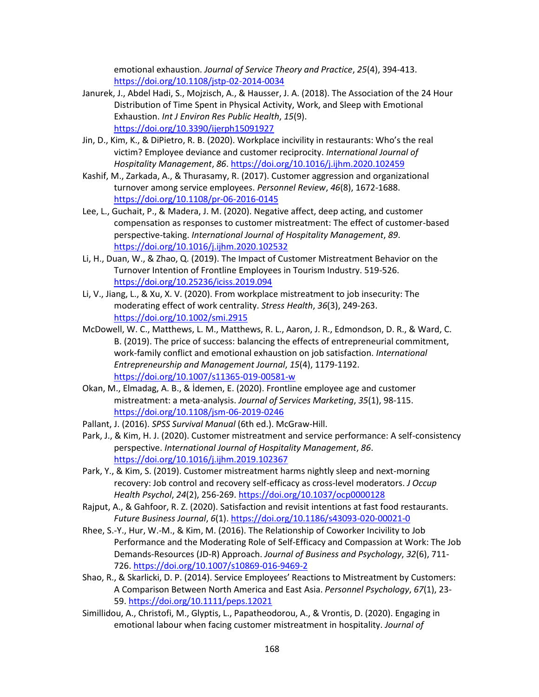emotional exhaustion. *Journal of Service Theory and Practice*, *25*(4), 394-413. <https://doi.org/10.1108/jstp-02-2014-0034>

- Janurek, J., Abdel Hadi, S., Mojzisch, A., & Hausser, J. A. (2018). The Association of the 24 Hour Distribution of Time Spent in Physical Activity, Work, and Sleep with Emotional Exhaustion. *Int J Environ Res Public Health*, *15*(9). <https://doi.org/10.3390/ijerph15091927>
- Jin, D., Kim, K., & DiPietro, R. B. (2020). Workplace incivility in restaurants: Who's the real victim? Employee deviance and customer reciprocity. *International Journal of Hospitality Management*, *86*.<https://doi.org/10.1016/j.ijhm.2020.102459>
- Kashif, M., Zarkada, A., & Thurasamy, R. (2017). Customer aggression and organizational turnover among service employees. *Personnel Review*, *46*(8), 1672-1688. <https://doi.org/10.1108/pr-06-2016-0145>
- Lee, L., Guchait, P., & Madera, J. M. (2020). Negative affect, deep acting, and customer compensation as responses to customer mistreatment: The effect of customer-based perspective-taking. *International Journal of Hospitality Management*, *89*. <https://doi.org/10.1016/j.ijhm.2020.102532>
- Li, H., Duan, W., & Zhao, Q. (2019). The Impact of Customer Mistreatment Behavior on the Turnover Intention of Frontline Employees in Tourism Industry. 519-526. <https://doi.org/10.25236/iciss.2019.094>
- Li, V., Jiang, L., & Xu, X. V. (2020). From workplace mistreatment to job insecurity: The moderating effect of work centrality. *Stress Health*, *36*(3), 249-263. <https://doi.org/10.1002/smi.2915>
- McDowell, W. C., Matthews, L. M., Matthews, R. L., Aaron, J. R., Edmondson, D. R., & Ward, C. B. (2019). The price of success: balancing the effects of entrepreneurial commitment, work-family conflict and emotional exhaustion on job satisfaction. *International Entrepreneurship and Management Journal*, *15*(4), 1179-1192. <https://doi.org/10.1007/s11365-019-00581-w>
- Okan, M., Elmadag, A. B., & İdemen, E. (2020). Frontline employee age and customer mistreatment: a meta-analysis. *Journal of Services Marketing*, *35*(1), 98-115. <https://doi.org/10.1108/jsm-06-2019-0246>
- Pallant, J. (2016). *SPSS Survival Manual* (6th ed.). McGraw-Hill.
- Park, J., & Kim, H. J. (2020). Customer mistreatment and service performance: A self-consistency perspective. *International Journal of Hospitality Management*, *86*. <https://doi.org/10.1016/j.ijhm.2019.102367>
- Park, Y., & Kim, S. (2019). Customer mistreatment harms nightly sleep and next-morning recovery: Job control and recovery self-efficacy as cross-level moderators. *J Occup Health Psychol*, *24*(2), 256-269.<https://doi.org/10.1037/ocp0000128>
- Rajput, A., & Gahfoor, R. Z. (2020). Satisfaction and revisit intentions at fast food restaurants. *Future Business Journal*, *6*(1).<https://doi.org/10.1186/s43093-020-00021-0>
- Rhee, S.-Y., Hur, W.-M., & Kim, M. (2016). The Relationship of Coworker Incivility to Job Performance and the Moderating Role of Self-Efficacy and Compassion at Work: The Job Demands-Resources (JD-R) Approach. *Journal of Business and Psychology*, *32*(6), 711- 726[. https://doi.org/10.1007/s10869-016-9469-2](https://doi.org/10.1007/s10869-016-9469-2)
- Shao, R., & Skarlicki, D. P. (2014). Service Employees' Reactions to Mistreatment by Customers: A Comparison Between North America and East Asia. *Personnel Psychology*, *67*(1), 23- 59.<https://doi.org/10.1111/peps.12021>
- Simillidou, A., Christofi, M., Glyptis, L., Papatheodorou, A., & Vrontis, D. (2020). Engaging in emotional labour when facing customer mistreatment in hospitality. *Journal of*